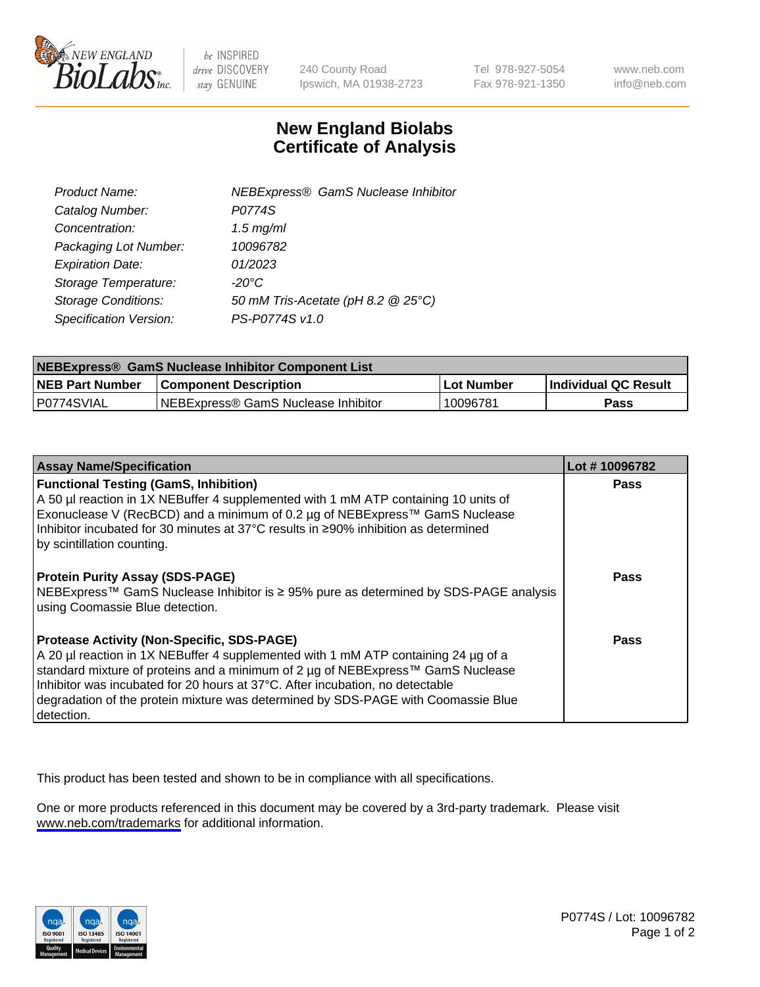

be INSPIRED drive DISCOVERY stay GENUINE

240 County Road Ipswich, MA 01938-2723 Tel 978-927-5054 Fax 978-921-1350

www.neb.com info@neb.com

## **New England Biolabs Certificate of Analysis**

| <b>NEBExpress® GamS Nuclease Inhibitor</b> |
|--------------------------------------------|
| P0774S                                     |
| $1.5$ mg/ml                                |
| 10096782                                   |
| 01/2023                                    |
| $-20^{\circ}$ C                            |
| 50 mM Tris-Acetate (pH 8.2 @ 25°C)         |
| PS-P0774S v1.0                             |
|                                            |

| NEBExpress® GamS Nuclease Inhibitor Component List |                                      |              |                             |  |
|----------------------------------------------------|--------------------------------------|--------------|-----------------------------|--|
| <b>NEB Part Number</b>                             | <b>Component Description</b>         | . Lot Number | <b>Individual QC Result</b> |  |
| P0774SVIAL                                         | INEBExpress® GamS Nuclease Inhibitor | 10096781     | Pass                        |  |

| <b>Assay Name/Specification</b>                                                                                                                                                                                                                                                                                                                                                                                | Lot #10096782 |
|----------------------------------------------------------------------------------------------------------------------------------------------------------------------------------------------------------------------------------------------------------------------------------------------------------------------------------------------------------------------------------------------------------------|---------------|
| <b>Functional Testing (GamS, Inhibition)</b><br>A 50 µl reaction in 1X NEBuffer 4 supplemented with 1 mM ATP containing 10 units of                                                                                                                                                                                                                                                                            | Pass          |
| Exonuclease V (RecBCD) and a minimum of 0.2 µg of NEBExpress™ GamS Nuclease<br>Inhibitor incubated for 30 minutes at 37°C results in ≥90% inhibition as determined<br>by scintillation counting.                                                                                                                                                                                                               |               |
| <b>Protein Purity Assay (SDS-PAGE)</b><br>NEBExpress™ GamS Nuclease Inhibitor is ≥ 95% pure as determined by SDS-PAGE analysis<br>using Coomassie Blue detection.                                                                                                                                                                                                                                              | <b>Pass</b>   |
| <b>Protease Activity (Non-Specific, SDS-PAGE)</b><br>A 20 µl reaction in 1X NEBuffer 4 supplemented with 1 mM ATP containing 24 µg of a<br>standard mixture of proteins and a minimum of 2 µg of NEBExpress™ GamS Nuclease<br>Inhibitor was incubated for 20 hours at 37°C. After incubation, no detectable<br>degradation of the protein mixture was determined by SDS-PAGE with Coomassie Blue<br>detection. | Pass          |

This product has been tested and shown to be in compliance with all specifications.

One or more products referenced in this document may be covered by a 3rd-party trademark. Please visit <www.neb.com/trademarks>for additional information.